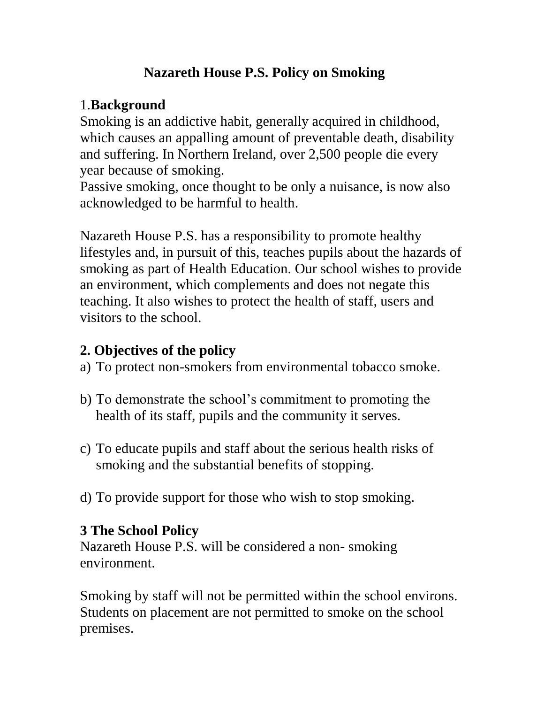#### **Nazareth House P.S. Policy on Smoking**

# 1.**Background**

Smoking is an addictive habit, generally acquired in childhood, which causes an appalling amount of preventable death, disability and suffering. In Northern Ireland, over 2,500 people die every year because of smoking.

Passive smoking, once thought to be only a nuisance, is now also acknowledged to be harmful to health.

Nazareth House P.S. has a responsibility to promote healthy lifestyles and, in pursuit of this, teaches pupils about the hazards of smoking as part of Health Education. Our school wishes to provide an environment, which complements and does not negate this teaching. It also wishes to protect the health of staff, users and visitors to the school.

### **2. Objectives of the policy**

- a) To protect non-smokers from environmental tobacco smoke.
- b) To demonstrate the school's commitment to promoting the health of its staff, pupils and the community it serves.
- c) To educate pupils and staff about the serious health risks of smoking and the substantial benefits of stopping.
- d) To provide support for those who wish to stop smoking.

# **3 The School Policy**

Nazareth House P.S. will be considered a non- smoking environment.

Smoking by staff will not be permitted within the school environs. Students on placement are not permitted to smoke on the school premises.